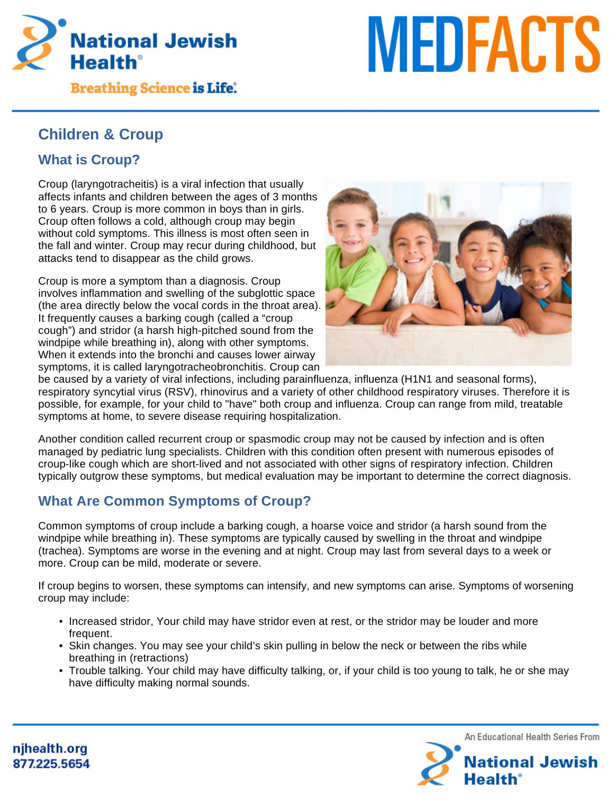

**Breathing Science is Life.** 

# **MEDFACTS**

# **Children & Croup**

# **What is Croup?**

Croup (laryngotracheitis) is a viral infection that usually affects infants and children between the ages of 3 months to 6 years. Croup is more common in boys than in girls. Croup often follows a cold, although croup may begin without cold symptoms. This illness is most often seen in the fall and winter. Croup may recur during childhood, but attacks tend to disappear as the child grows.

Croup is more a symptom than a diagnosis. Croup involves inflammation and swelling of the subglottic space (the area directly below the vocal cords in the throat area). It frequently causes a barking cough (called a "croup cough") and stridor (a harsh high-pitched sound from the windpipe while breathing in), along with other symptoms. When it extends into the bronchi and causes lower airway symptoms, it is called laryngotracheobronchitis. Croup can



be caused by a variety of viral infections, including parainfluenza, influenza (H1N1 and seasonal forms), respiratory syncytial virus (RSV), rhinovirus and a variety of other childhood respiratory viruses. Therefore it is possible, for example, for your child to "have" both croup and influenza. Croup can range from mild, treatable symptoms at home, to severe disease requiring hospitalization.

Another condition called recurrent croup or spasmodic croup may not be caused by infection and is often managed by pediatric lung specialists. Children with this condition often present with numerous episodes of croup-like cough which are short-lived and not associated with other signs of respiratory infection. Children typically outgrow these symptoms, but medical evaluation may be important to determine the correct diagnosis.

# **What Are Common Symptoms of Croup?**

Common symptoms of croup include a barking cough, a hoarse voice and stridor (a harsh sound from the windpipe while breathing in). These symptoms are typically caused by swelling in the throat and windpipe (trachea). Symptoms are worse in the evening and at night. Croup may last from several days to a week or more. Croup can be mild, moderate or severe.

If croup begins to worsen, these symptoms can intensify, and new symptoms can arise. Symptoms of worsening croup may include:

- Increased stridor, Your child may have stridor even at rest, or the stridor may be louder and more frequent.
- Skin changes. You may see your child's skin pulling in below the neck or between the ribs while breathing in (retractions)
- Trouble talking. Your child may have difficulty talking, or, if your child is too young to talk, he or she may have difficulty making normal sounds.



njhealth.org 877.225.5654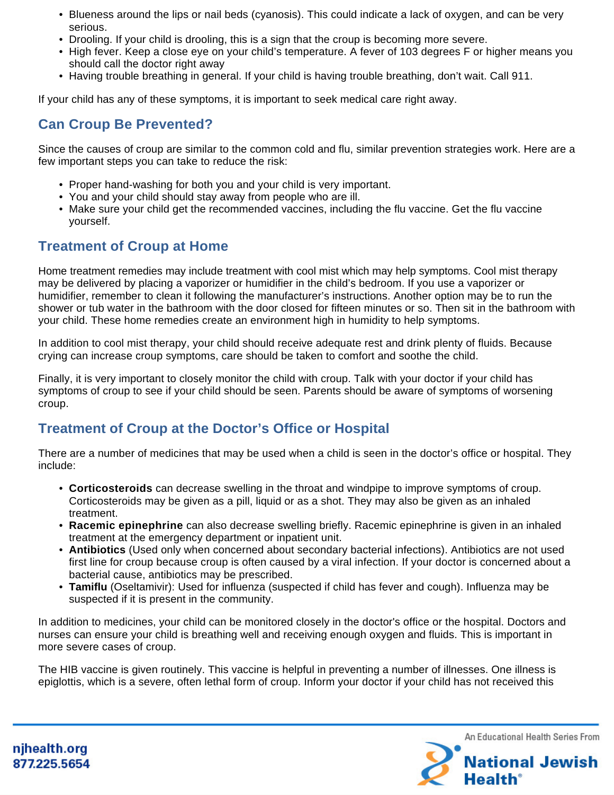- Blueness around the lips or nail beds (cyanosis). This could indicate a lack of oxygen, and can be very serious.
- Drooling. If your child is drooling, this is a sign that the croup is becoming more severe.
- High fever. Keep a close eye on your child's temperature. A fever of 103 degrees F or higher means you should call the doctor right away
- Having trouble breathing in general. If your child is having trouble breathing, don't wait. Call 911.

If your child has any of these symptoms, it is important to seek medical care right away.

### **Can Croup Be Prevented?**

Since the causes of croup are similar to the common cold and flu, similar prevention strategies work. Here are a few important steps you can take to reduce the risk:

- Proper hand-washing for both you and your child is very important.
- You and your child should stay away from people who are ill.
- Make sure your child get the recommended vaccines, including the flu vaccine. Get the flu vaccine yourself.

### **Treatment of Croup at Home**

Home treatment remedies may include treatment with cool mist which may help symptoms. Cool mist therapy may be delivered by placing a vaporizer or humidifier in the child's bedroom. If you use a vaporizer or humidifier, remember to clean it following the manufacturer's instructions. Another option may be to run the shower or tub water in the bathroom with the door closed for fifteen minutes or so. Then sit in the bathroom with your child. These home remedies create an environment high in humidity to help symptoms.

In addition to cool mist therapy, your child should receive adequate rest and drink plenty of fluids. Because crying can increase croup symptoms, care should be taken to comfort and soothe the child.

Finally, it is very important to closely monitor the child with croup. Talk with your doctor if your child has symptoms of croup to see if your child should be seen. Parents should be aware of symptoms of worsening croup.

### **Treatment of Croup at the Doctor's Office or Hospital**

There are a number of medicines that may be used when a child is seen in the doctor's office or hospital. They include:

- **Corticosteroids** can decrease swelling in the throat and windpipe to improve symptoms of croup. Corticosteroids may be given as a pill, liquid or as a shot. They may also be given as an inhaled treatment.
- **Racemic epinephrine** can also decrease swelling briefly. Racemic epinephrine is given in an inhaled treatment at the emergency department or inpatient unit.
- **Antibiotics** (Used only when concerned about secondary bacterial infections). Antibiotics are not used first line for croup because croup is often caused by a viral infection. If your doctor is concerned about a bacterial cause, antibiotics may be prescribed.
- **Tamiflu** (Oseltamivir): Used for influenza (suspected if child has fever and cough). Influenza may be suspected if it is present in the community.

In addition to medicines, your child can be monitored closely in the doctor's office or the hospital. Doctors and nurses can ensure your child is breathing well and receiving enough oxygen and fluids. This is important in more severe cases of croup.

The HIB vaccine is given routinely. This vaccine is helpful in preventing a number of illnesses. One illness is epiglottis, which is a severe, often lethal form of croup. Inform your doctor if your child has not received this



njhealth.org 877.225.5654